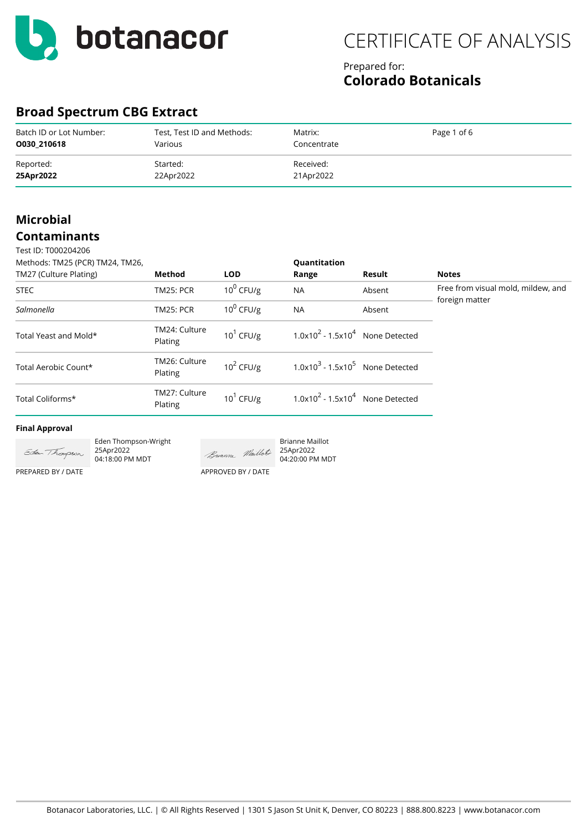

### Prepared for: **Colorado Botanicals**

## **Broad Spectrum CBG Extract**

| Batch ID or Lot Number: | Test, Test ID and Methods: | Matrix:     | Page 1 of 6 |
|-------------------------|----------------------------|-------------|-------------|
| 0030 210618             | Various                    | Concentrate |             |
| Reported:               | Started:                   | Received:   |             |
| 25Apr2022               | 22Apr2022                  | 21Apr2022   |             |

### **Microbial Contaminants**

| Test ID: T000204206             |                          |              |                                               |        |                                                      |
|---------------------------------|--------------------------|--------------|-----------------------------------------------|--------|------------------------------------------------------|
| Methods: TM25 (PCR) TM24, TM26, |                          |              | Quantitation                                  |        |                                                      |
| TM27 (Culture Plating)          | Method                   | <b>LOD</b>   | Range                                         | Result | <b>Notes</b>                                         |
| <b>STEC</b>                     | <b>TM25: PCR</b>         | $10^0$ CFU/g | <b>NA</b>                                     | Absent | Free from visual mold, mildew, and<br>foreign matter |
| Salmonella                      | <b>TM25: PCR</b>         | $10^0$ CFU/g | <b>NA</b>                                     | Absent |                                                      |
| Total Yeast and Mold*           | TM24: Culture<br>Plating | $10^1$ CFU/g | $1.0x102 - 1.5x104$ None Detected             |        |                                                      |
| Total Aerobic Count*            | TM26: Culture<br>Plating | $10^2$ CFU/g | $1.0x103$ - 1.5x10 <sup>5</sup> None Detected |        |                                                      |
| Total Coliforms*                | TM27: Culture<br>Plating | $10^1$ CFU/g | $1.0x102 - 1.5x104$ None Detected             |        |                                                      |
|                                 |                          |              |                                               |        |                                                      |

Brianne Maillot

#### **Final Approval**

PREPARED BY / DATE



Eden Thompson-Wright 25Apr2022 04:18:00 PM MDT

APPROVED BY / DATE

Buanne Maillot 25Apr2022 04:20:00 PM MDT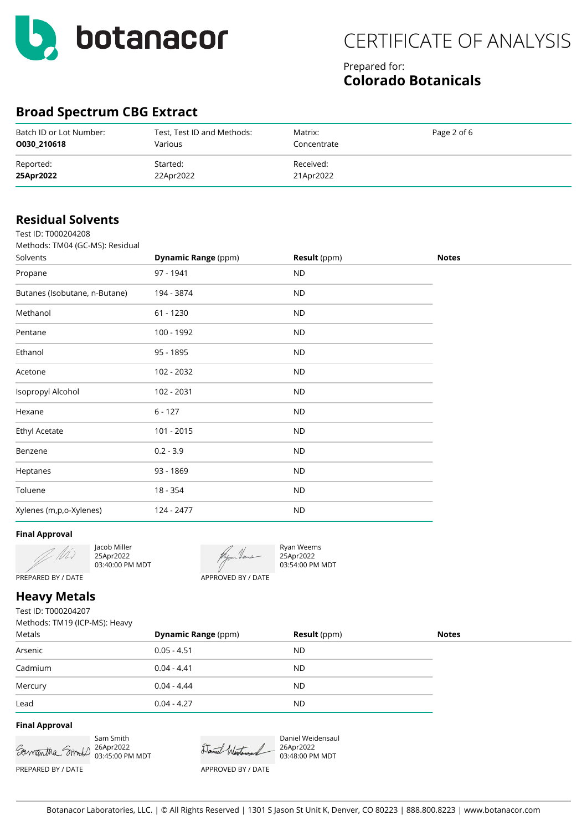

### Prepared for: **Colorado Botanicals**

## **Broad Spectrum CBG Extract**

| Batch ID or Lot Number: | Test, Test ID and Methods: | Matrix:     | Page 2 of 6 |
|-------------------------|----------------------------|-------------|-------------|
| 0030 210618             | Various                    | Concentrate |             |
| Reported:               | Started:                   | Received:   |             |
| 25Apr2022               | 22Apr2022                  | 21Apr2022   |             |

| <b>Residual Solvents</b>        |                            |                     |              |
|---------------------------------|----------------------------|---------------------|--------------|
| Test ID: T000204208             |                            |                     |              |
| Methods: TM04 (GC-MS): Residual |                            |                     |              |
| Solvents                        | <b>Dynamic Range (ppm)</b> | <b>Result</b> (ppm) | <b>Notes</b> |
| Propane                         | 97 - 1941                  | <b>ND</b>           |              |
| Butanes (Isobutane, n-Butane)   | 194 - 3874                 | <b>ND</b>           |              |
| Methanol                        | $61 - 1230$                | <b>ND</b>           |              |
| Pentane                         | 100 - 1992                 | <b>ND</b>           |              |
| Ethanol                         | 95 - 1895                  | <b>ND</b>           |              |
| Acetone                         | 102 - 2032                 | <b>ND</b>           |              |
| Isopropyl Alcohol               | 102 - 2031                 | <b>ND</b>           |              |
| Hexane                          | $6 - 127$                  | <b>ND</b>           |              |
| <b>Ethyl Acetate</b>            | 101 - 2015                 | <b>ND</b>           |              |
| Benzene                         | $0.2 - 3.9$                | <b>ND</b>           |              |
| Heptanes                        | 93 - 1869                  | <b>ND</b>           |              |
| Toluene                         | 18 - 354                   | ND                  |              |
| Xylenes (m,p,o-Xylenes)         | 124 - 2477                 | <b>ND</b>           |              |

### **Final Approval**

Jacob Miller 25Apr2022 03:40:00 PM MDT



Ryan Weems 25Apr2022 03:54:00 PM MDT

### **Heavy Metals**

PREPARED BY / DATE

Test ID: T000204207 Methods: TM19 (ICP-MS): Heavy

| Metals  | <b>Dynamic Range (ppm)</b> | <b>Result</b> (ppm) | <b>Notes</b> |
|---------|----------------------------|---------------------|--------------|
| Arsenic | $0.05 - 4.51$              | ND                  |              |
| Cadmium | $0.04 - 4.41$              | <b>ND</b>           |              |
| Mercury | $0.04 - 4.44$              | <b>ND</b>           |              |
| Lead    | $0.04 - 4.27$              | <b>ND</b>           |              |

### **Final Approval**





Daniel Weidensaul 26Apr2022 03:48:00 PM MDT

Botanacor Laboratories, LLC. | © All Rights Reserved | 1301 S Jason St Unit K, Denver, CO 80223 | 888.800.8223 | www.botanacor.com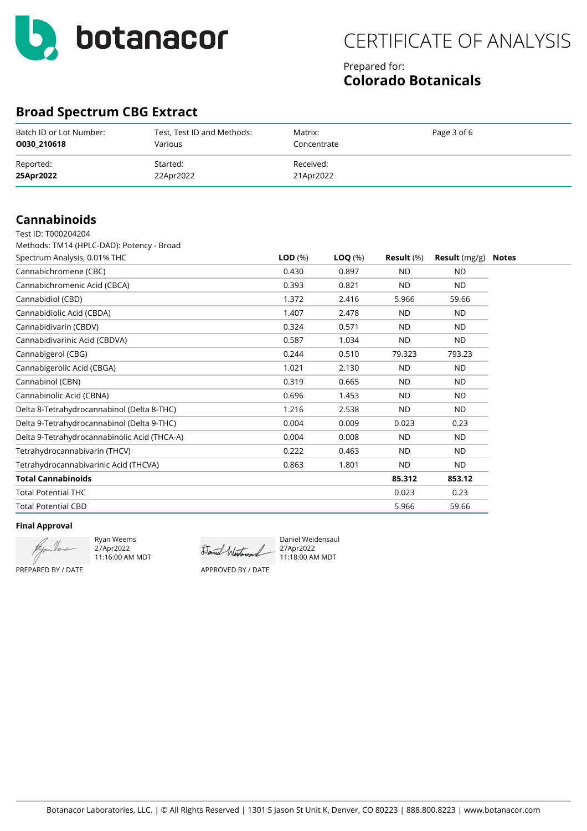

### Prepared for: **Colorado Botanicals**

### **Broad Spectrum CBG Extract**

| Batch ID or Lot Number: | Test, Test ID and Methods: | Matrix:     | Page 3 of 6 |
|-------------------------|----------------------------|-------------|-------------|
| 0030 210618             | Various                    | Concentrate |             |
| Reported:               | Started:                   | Received:   |             |
| 25Apr2022               | 22Apr2022                  | 21Apr2022   |             |

### **Cannabinoids**

| Test ID: T000204204                          |              |                    |                   |                        |              |
|----------------------------------------------|--------------|--------------------|-------------------|------------------------|--------------|
| Methods: TM14 (HPLC-DAD): Potency - Broad    |              |                    |                   |                        |              |
| Spectrum Analysis, 0.01% THC                 | $LOD$ $(\%)$ | $\textsf{LOQ}(\%)$ | <b>Result</b> (%) | <b>Result</b> $(mg/g)$ | <b>Notes</b> |
| Cannabichromene (CBC)                        | 0.430        | 0.897              | <b>ND</b>         | <b>ND</b>              |              |
| Cannabichromenic Acid (CBCA)                 | 0.393        | 0.821              | <b>ND</b>         | <b>ND</b>              |              |
| Cannabidiol (CBD)                            | 1.372        | 2.416              | 5.966             | 59.66                  |              |
| Cannabidiolic Acid (CBDA)                    | 1.407        | 2.478              | <b>ND</b>         | <b>ND</b>              |              |
| Cannabidivarin (CBDV)                        | 0.324        | 0.571              | <b>ND</b>         | <b>ND</b>              |              |
| Cannabidivarinic Acid (CBDVA)                | 0.587        | 1.034              | <b>ND</b>         | <b>ND</b>              |              |
| Cannabigerol (CBG)                           | 0.244        | 0.510              | 79.323            | 793.23                 |              |
| Cannabigerolic Acid (CBGA)                   | 1.021        | 2.130              | <b>ND</b>         | <b>ND</b>              |              |
| Cannabinol (CBN)                             | 0.319        | 0.665              | <b>ND</b>         | <b>ND</b>              |              |
| Cannabinolic Acid (CBNA)                     | 0.696        | 1.453              | <b>ND</b>         | <b>ND</b>              |              |
| Delta 8-Tetrahydrocannabinol (Delta 8-THC)   | 1.216        | 2.538              | <b>ND</b>         | <b>ND</b>              |              |
| Delta 9-Tetrahydrocannabinol (Delta 9-THC)   | 0.004        | 0.009              | 0.023             | 0.23                   |              |
| Delta 9-Tetrahydrocannabinolic Acid (THCA-A) | 0.004        | 0.008              | <b>ND</b>         | <b>ND</b>              |              |
| Tetrahydrocannabivarin (THCV)                | 0.222        | 0.463              | <b>ND</b>         | <b>ND</b>              |              |
| Tetrahydrocannabivarinic Acid (THCVA)        | 0.863        | 1.801              | <b>ND</b>         | ND.                    |              |
| <b>Total Cannabinoids</b>                    |              |                    | 85.312            | 853.12                 |              |
| <b>Total Potential THC</b>                   |              |                    | 0.023             | 0.23                   |              |
| <b>Total Potential CBD</b>                   |              |                    | 5.966             | 59.66                  |              |

**Final Approval** PREPARED BY / DATE

Ryan Weems 27Apr2022 11:16:00 AM MDT

Daniel Weidensaul 27Apr2022 11:18:00 AM MDT

APPROVED BY / DATE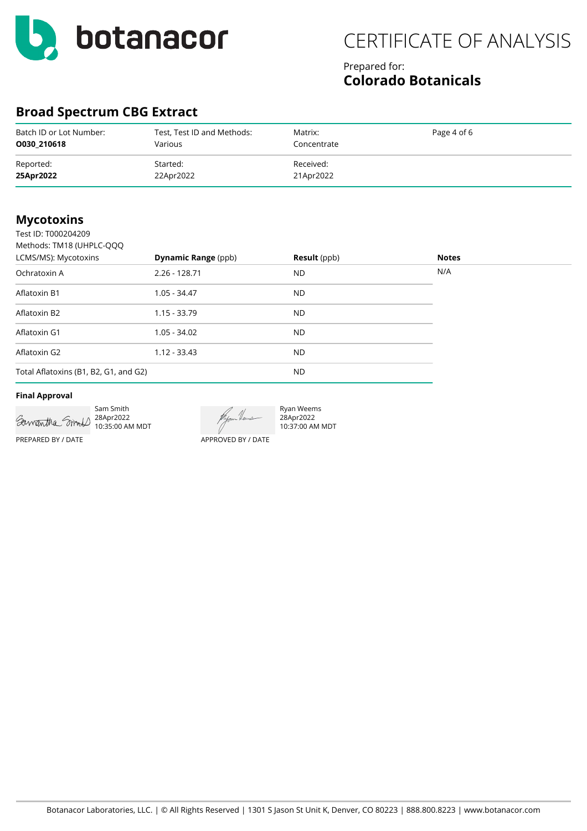

### Prepared for: **Colorado Botanicals**

## **Broad Spectrum CBG Extract**

| Batch ID or Lot Number: | Test, Test ID and Methods: | Matrix:     | Page 4 of 6 |
|-------------------------|----------------------------|-------------|-------------|
| 0030 210618             | Various                    | Concentrate |             |
| Reported:               | Started:                   | Received:   |             |
| 25Apr2022               | 22Apr2022                  | 21Apr2022   |             |

### **Mycotoxins**

| Test ID: T000204209                   |                            |                     |              |  |
|---------------------------------------|----------------------------|---------------------|--------------|--|
| Methods: TM18 (UHPLC-QQQ              |                            |                     |              |  |
| LCMS/MS): Mycotoxins                  | <b>Dynamic Range (ppb)</b> | <b>Result</b> (ppb) | <b>Notes</b> |  |
| Ochratoxin A                          | $2.26 - 128.71$            | ND.                 | N/A          |  |
| Aflatoxin B1                          | $1.05 - 34.47$             | ND.                 |              |  |
| Aflatoxin B2                          | $1.15 - 33.79$             | ND.                 |              |  |
| Aflatoxin G1                          | $1.05 - 34.02$             | ND.                 |              |  |
| Aflatoxin G2                          | $1.12 - 33.43$             | ND.                 |              |  |
| Total Aflatoxins (B1, B2, G1, and G2) |                            | ND.                 |              |  |

#### **Final Approval**



Sam Smith 28Apr2022 10:35:00 AM MDT

Ryan Weems 28Apr2022 10:37:00 AM MDT

APPROVED BY / DATE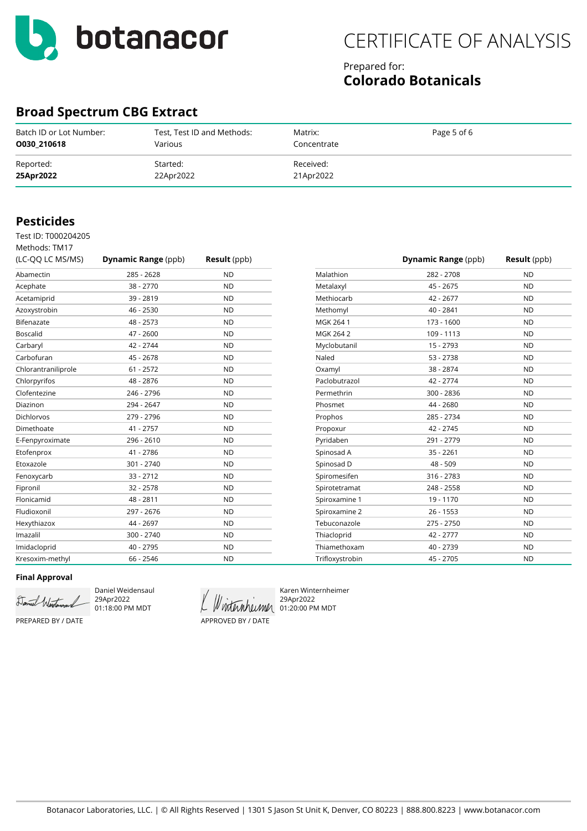

### Prepared for: **Colorado Botanicals**

### **Broad Spectrum CBG Extract**

| Batch ID or Lot Number: | Test, Test ID and Methods: | Matrix:     | Page 5 of 6 |
|-------------------------|----------------------------|-------------|-------------|
| 0030 210618             | Various                    | Concentrate |             |
| Reported:               | Started:                   | Received:   |             |
| 25Apr2022               | 22Apr2022                  | 21Apr2022   |             |

### **Pesticides**

Test ID: T000204205

| Methods: TM17       |                            |                     |
|---------------------|----------------------------|---------------------|
| (LC-QQ LC MS/MS)    | <b>Dynamic Range (ppb)</b> | <b>Result</b> (ppb) |
| Abamectin           | 285 - 2628                 | <b>ND</b>           |
| Acephate            | 38 - 2770                  | <b>ND</b>           |
| Acetamiprid         | 39 - 2819                  | <b>ND</b>           |
| Azoxystrobin        | 46 - 2530                  | <b>ND</b>           |
| Bifenazate          | 48 - 2573                  | <b>ND</b>           |
| <b>Boscalid</b>     | 47 - 2600                  | <b>ND</b>           |
| Carbaryl            | 42 - 2744                  | <b>ND</b>           |
| Carbofuran          | 45 - 2678                  | <b>ND</b>           |
| Chlorantraniliprole | $61 - 2572$                | <b>ND</b>           |
| Chlorpyrifos        | 48 - 2876                  | <b>ND</b>           |
| Clofentezine        | 246 - 2796                 | <b>ND</b>           |
| Diazinon            | 294 - 2647                 | <b>ND</b>           |
| Dichlorvos          | 279 - 2796                 | <b>ND</b>           |
| Dimethoate          | 41 - 2757                  | <b>ND</b>           |
| E-Fenpyroximate     | 296 - 2610                 | <b>ND</b>           |
| Etofenprox          | 41 - 2786                  | <b>ND</b>           |
| Etoxazole           | 301 - 2740                 | <b>ND</b>           |
| Fenoxycarb          | $33 - 2712$                | <b>ND</b>           |
| Fipronil            | $32 - 2578$                | <b>ND</b>           |
| Flonicamid          | 48 - 2811                  | <b>ND</b>           |
| Fludioxonil         | 297 - 2676                 | <b>ND</b>           |
| Hexythiazox         | 44 - 2697                  | <b>ND</b>           |
| Imazalil            | 300 - 2740                 | <b>ND</b>           |
| Imidacloprid        | 40 - 2795                  | <b>ND</b>           |
| Kresoxim-methyl     | 66 - 2546                  | <b>ND</b>           |

|                 | <b>Dynamic Range (ppb)</b> | <b>Result</b> (ppb) |
|-----------------|----------------------------|---------------------|
| Malathion       | 282 - 2708                 | <b>ND</b>           |
| Metalaxyl       | 45 - 2675                  | <b>ND</b>           |
| Methiocarb      | 42 - 2677                  | <b>ND</b>           |
| Methomyl        | 40 - 2841                  | <b>ND</b>           |
| MGK 264 1       | 173 - 1600                 | <b>ND</b>           |
| MGK 264 2       | 109 - 1113                 | <b>ND</b>           |
| Myclobutanil    | 15 - 2793                  | <b>ND</b>           |
| Naled           | 53 - 2738                  | <b>ND</b>           |
| Oxamyl          | 38 - 2874                  | <b>ND</b>           |
| Paclobutrazol   | 42 - 2774                  | <b>ND</b>           |
| Permethrin      | 300 - 2836                 | <b>ND</b>           |
| Phosmet         | 44 - 2680                  | <b>ND</b>           |
| Prophos         | 285 - 2734                 | <b>ND</b>           |
| Propoxur        | 42 - 2745                  | <b>ND</b>           |
| Pyridaben       | 291 - 2779                 | <b>ND</b>           |
| Spinosad A      | $35 - 2261$                | <b>ND</b>           |
| Spinosad D      | 48 - 509                   | <b>ND</b>           |
| Spiromesifen    | 316 - 2783                 | <b>ND</b>           |
| Spirotetramat   | 248 - 2558                 | <b>ND</b>           |
| Spiroxamine 1   | 19 - 1170                  | <b>ND</b>           |
| Spiroxamine 2   | $26 - 1553$                | <b>ND</b>           |
| Tebuconazole    | 275 - 2750                 | <b>ND</b>           |
| Thiacloprid     | 42 - 2777                  | <b>ND</b>           |
| Thiamethoxam    | 40 - 2739                  | <b>ND</b>           |
| Trifloxystrobin | 45 - 2705                  | <b>ND</b>           |

#### **Final Approval**

Daniel Westersauch

Daniel Weidensaul 29Apr2022 01:18:00 PM MDT

APPROVED BY / DATE

Karen Winternheimer 29Apr2022 Winternheimer 01:20:00 PM MDT

PREPARED BY / DATE